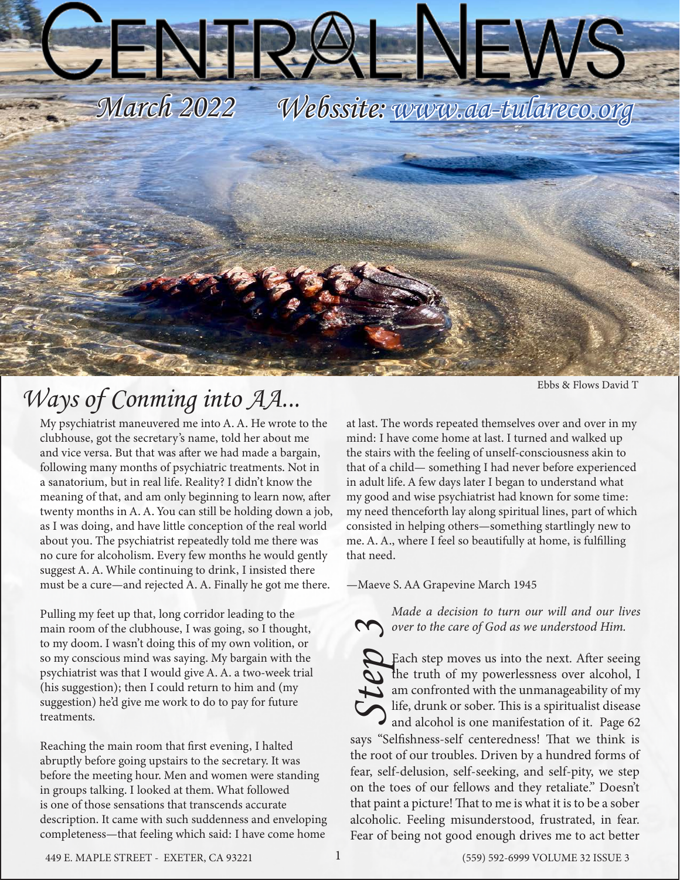

## *Ways of Conming into AA...*

My psychiatrist maneuvered me into A. A. He wrote to the clubhouse, got the secretary's name, told her about me and vice versa. But that was after we had made a bargain, following many months of psychiatric treatments. Not in a sanatorium, but in real life. Reality? I didn't know the meaning of that, and am only beginning to learn now, after twenty months in A. A. You can still be holding down a job, as I was doing, and have little conception of the real world about you. The psychiatrist repeatedly told me there was no cure for alcoholism. Every few months he would gently suggest A. A. While continuing to drink, I insisted there must be a cure—and rejected A. A. Finally he got me there.

Pulling my feet up that, long corridor leading to the main room of the clubhouse, I was going, so I thought, to my doom. I wasn't doing this of my own volition, or so my conscious mind was saying. My bargain with the psychiatrist was that I would give A. A. a two-week trial (his suggestion); then I could return to him and (my suggestion) he'd give me work to do to pay for future treatments.

Reaching the main room that first evening, I halted abruptly before going upstairs to the secretary. It was before the meeting hour. Men and women were standing in groups talking. I looked at them. What followed is one of those sensations that transcends accurate description. It came with such suddenness and enveloping completeness—that feeling which said: I have come home

Ebbs & Flows David T

at last. The words repeated themselves over and over in my mind: I have come home at last. I turned and walked up the stairs with the feeling of unself-consciousness akin to that of a child— something I had never before experienced in adult life. A few days later I began to understand what my good and wise psychiatrist had known for some time: my need thenceforth lay along spiritual lines, part of which consisted in helping others—something startlingly new to me. A. A., where I feel so beautifully at home, is fulfilling that need.

—Maeve S. AA Grapevine March 1945

*Made a decision to turn our will and our lives* 

**Solution** *Sover to the care of God as we understood Him.*<br> **Solution 4**<br> **Code 1**<br> **Code 1**<br> **Code 1**<br> **Code 1**<br> **Code 1**<br> **Code 1**<br> **Code 1**<br> **Code 1**<br> **Code 1**<br> **Code 1**<br> **Code 1**<br> **Code 1**<br> **Code 1**<br> **Code 1**<br> **Code 1** Each step moves us into the next. After seeing the truth of my powerlessness over alcohol, I  $\sum$  am confronted with the unmanageability of my life, drunk or sober. This is a spiritualist disease and alcohol is one manifestation of it. Page 62 says "Selfishness-self centeredness! That we think is the root of our troubles. Driven by a hundred forms of fear, self-delusion, self-seeking, and self-pity, we step on the toes of our fellows and they retaliate." Doesn't that paint a picture! That to me is what it is to be a sober alcoholic. Feeling misunderstood, frustrated, in fear. Fear of being not good enough drives me to act better

449 E. MAPLE STREET - EXETER, CA 93221 (559) 592-6999 VOLUME 32 ISSUE 3 1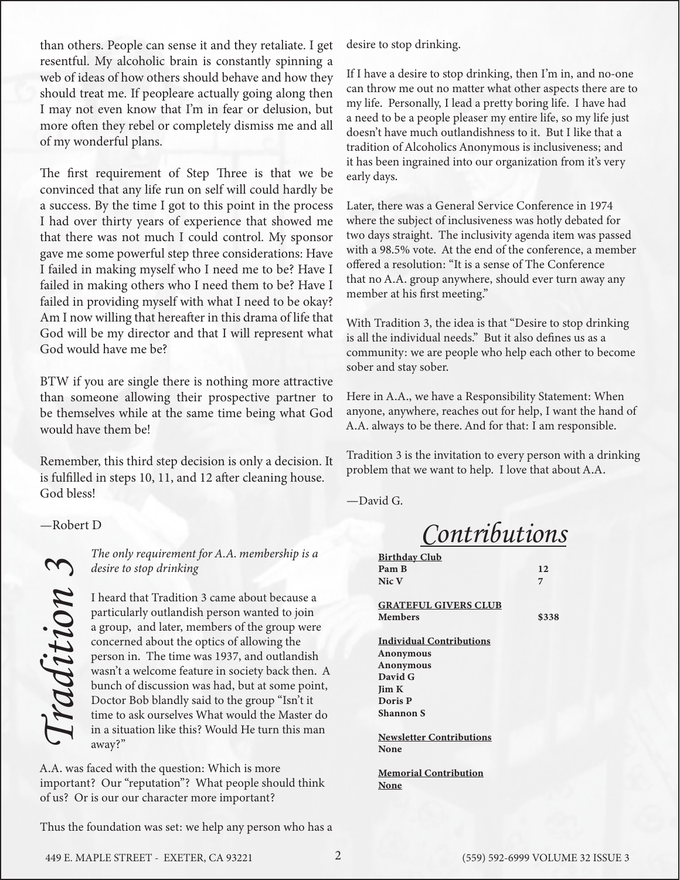than others. People can sense it and they retaliate. I get resentful. My alcoholic brain is constantly spinning a web of ideas of how others should behave and how they should treat me. If peopleare actually going along then I may not even know that I'm in fear or delusion, but more often they rebel or completely dismiss me and all of my wonderful plans.

The first requirement of Step Three is that we be convinced that any life run on self will could hardly be a success. By the time I got to this point in the process I had over thirty years of experience that showed me that there was not much I could control. My sponsor gave me some powerful step three considerations: Have I failed in making myself who I need me to be? Have I failed in making others who I need them to be? Have I failed in providing myself with what I need to be okay? Am I now willing that hereafter in this drama of life that God will be my director and that I will represent what God would have me be?

BTW if you are single there is nothing more attractive than someone allowing their prospective partner to be themselves while at the same time being what God would have them be!

Remember, this third step decision is only a decision. It is fulfilled in steps 10, 11, and 12 after cleaning house. God bless!

—Robert D

*desire to stop drinking*

The only requirement for A.A. membership is a<br>desire to stop drinking<br>I heard that Tradition 3 came about because a<br>particularly outlandish person wanted to join<br>a group, and later, members of the group were<br>concerned abou I heard that Tradition 3 came about because a particularly outlandish person wanted to join a group, and later, members of the group were concerned about the optics of allowing the person in. The time was 1937, and outlandish wasn't a welcome feature in society back then. A bunch of discussion was had, but at some point, Doctor Bob blandly said to the group "Isn't it time to ask ourselves What would the Master do in a situation like this? Would He turn this man away?"

A.A. was faced with the question: Which is more important? Our "reputation"? What people should think of us? Or is our our character more important?

Thus the foundation was set: we help any person who has a

desire to stop drinking.

If I have a desire to stop drinking, then I'm in, and no-one can throw me out no matter what other aspects there are to my life. Personally, I lead a pretty boring life. I have had a need to be a people pleaser my entire life, so my life just doesn't have much outlandishness to it. But I like that a tradition of Alcoholics Anonymous is inclusiveness; and it has been ingrained into our organization from it's very early days.

Later, there was a General Service Conference in 1974 where the subject of inclusiveness was hotly debated for two days straight. The inclusivity agenda item was passed with a 98.5% vote. At the end of the conference, a member offered a resolution: "It is a sense of The Conference that no A.A. group anywhere, should ever turn away any member at his first meeting."

With Tradition 3, the idea is that "Desire to stop drinking is all the individual needs." But it also defines us as a community: we are people who help each other to become sober and stay sober.

Here in A.A., we have a Responsibility Statement: When anyone, anywhere, reaches out for help, I want the hand of A.A. always to be there. And for that: I am responsible.

Tradition 3 is the invitation to every person with a drinking problem that we want to help. I love that about A.A.

—David G.

*Contributions*

| <b>Birthday Club</b>            |       |
|---------------------------------|-------|
| Pam <sub>B</sub>                | 12    |
| Nic V                           | 7     |
|                                 |       |
| <b>GRATEFUL GIVERS CLUB</b>     |       |
| <b>Members</b>                  | \$338 |
|                                 |       |
| <b>Individual Contributions</b> |       |
| Anonymous                       |       |
| <b>Anonymous</b>                |       |
| David G                         |       |
| <b>Jim K</b>                    |       |
| Doris P                         |       |
| <b>Shannon S</b>                |       |
|                                 |       |
| <b>Newsletter Contributions</b> |       |
| None                            |       |
|                                 |       |
| <b>Memorial Contribution</b>    |       |
| None                            |       |
|                                 |       |
|                                 |       |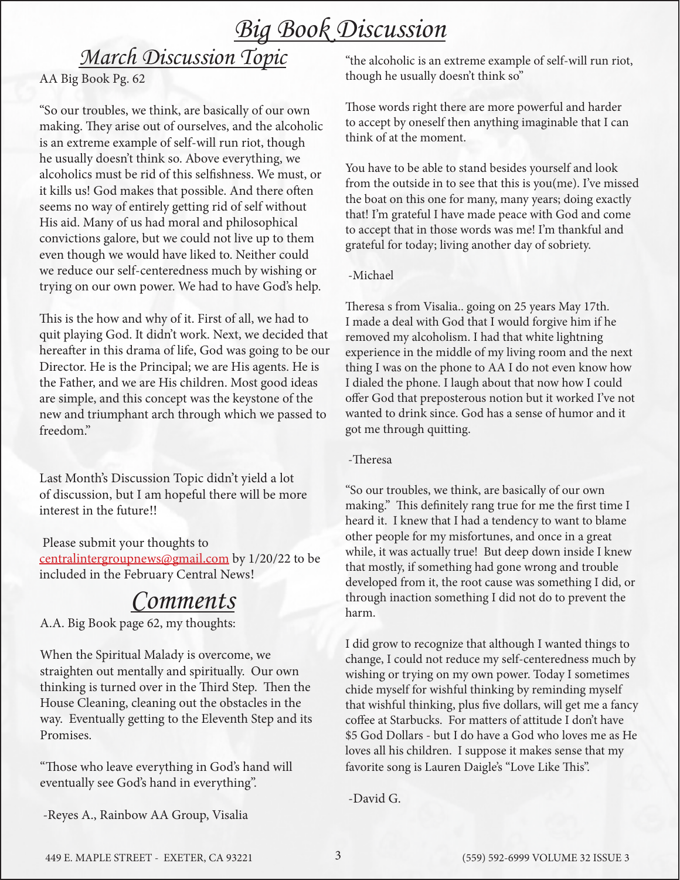## *Big Book Discussion*

## *March Discussion Topic*

AA Big Book Pg. 62

"So our troubles, we think, are basically of our own making. They arise out of ourselves, and the alcoholic is an extreme example of self-will run riot, though he usually doesn't think so. Above everything, we alcoholics must be rid of this selfishness. We must, or it kills us! God makes that possible. And there often seems no way of entirely getting rid of self without His aid. Many of us had moral and philosophical convictions galore, but we could not live up to them even though we would have liked to. Neither could we reduce our self-centeredness much by wishing or trying on our own power. We had to have God's help.

This is the how and why of it. First of all, we had to quit playing God. It didn't work. Next, we decided that hereafter in this drama of life, God was going to be our Director. He is the Principal; we are His agents. He is the Father, and we are His children. Most good ideas are simple, and this concept was the keystone of the new and triumphant arch through which we passed to freedom."

Last Month's Discussion Topic didn't yield a lot of discussion, but I am hopeful there will be more interest in the future!!

 Please submit your thoughts to centralintergroupnews@gmail.com by 1/20/22 to be included in the February Central News!

## *Comments*

A.A. Big Book page 62, my thoughts:

When the Spiritual Malady is overcome, we straighten out mentally and spiritually. Our own thinking is turned over in the Third Step. Then the House Cleaning, cleaning out the obstacles in the way. Eventually getting to the Eleventh Step and its Promises.

"Those who leave everything in God's hand will eventually see God's hand in everything".

-Reyes A., Rainbow AA Group, Visalia

"the alcoholic is an extreme example of self-will run riot, though he usually doesn't think so"

Those words right there are more powerful and harder to accept by oneself then anything imaginable that I can think of at the moment.

You have to be able to stand besides yourself and look from the outside in to see that this is you(me). I've missed the boat on this one for many, many years; doing exactly that! I'm grateful I have made peace with God and come to accept that in those words was me! I'm thankful and grateful for today; living another day of sobriety.

#### -Michael

Theresa s from Visalia.. going on 25 years May 17th. I made a deal with God that I would forgive him if he removed my alcoholism. I had that white lightning experience in the middle of my living room and the next thing I was on the phone to AA I do not even know how I dialed the phone. I laugh about that now how I could offer God that preposterous notion but it worked I've not wanted to drink since. God has a sense of humor and it got me through quitting.

#### -Theresa

"So our troubles, we think, are basically of our own making." This definitely rang true for me the first time I heard it. I knew that I had a tendency to want to blame other people for my misfortunes, and once in a great while, it was actually true! But deep down inside I knew that mostly, if something had gone wrong and trouble developed from it, the root cause was something I did, or through inaction something I did not do to prevent the harm.

I did grow to recognize that although I wanted things to change, I could not reduce my self-centeredness much by wishing or trying on my own power. Today I sometimes chide myself for wishful thinking by reminding myself that wishful thinking, plus five dollars, will get me a fancy coffee at Starbucks. For matters of attitude I don't have \$5 God Dollars - but I do have a God who loves me as He loves all his children. I suppose it makes sense that my favorite song is Lauren Daigle's "Love Like This".

-David G.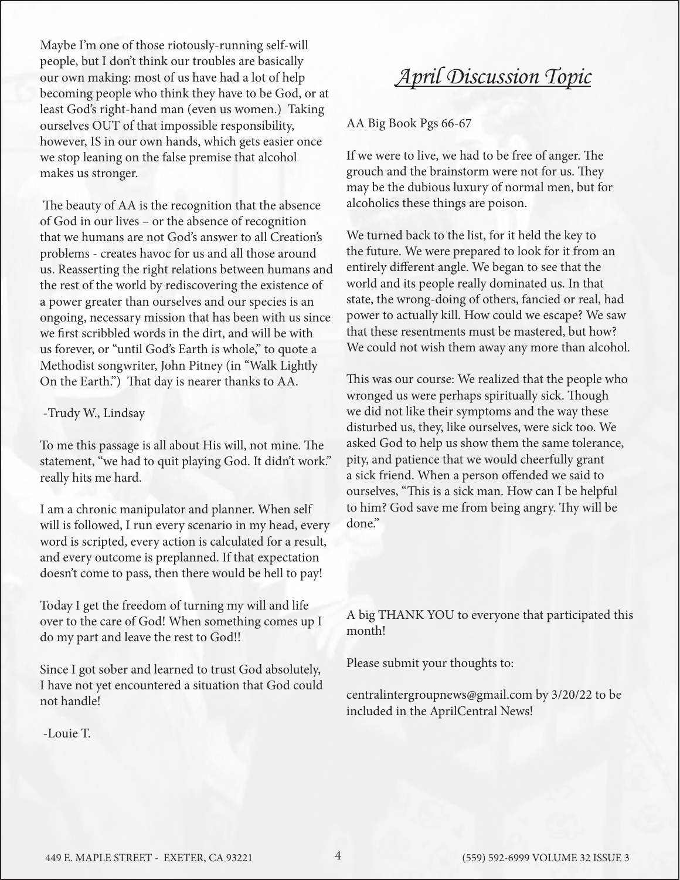Maybe I'm one of those riotously-running self-will people, but I don't think our troubles are basically our own making: most of us have had a lot of help becoming people who think they have to be God, or at least God's right-hand man (even us women.) Taking ourselves OUT of that impossible responsibility, however, IS in our own hands, which gets easier once we stop leaning on the false premise that alcohol makes us stronger.

 The beauty of AA is the recognition that the absence of God in our lives – or the absence of recognition that we humans are not God's answer to all Creation's problems - creates havoc for us and all those around us. Reasserting the right relations between humans and the rest of the world by rediscovering the existence of a power greater than ourselves and our species is an ongoing, necessary mission that has been with us since we first scribbled words in the dirt, and will be with us forever, or "until God's Earth is whole," to quote a Methodist songwriter, John Pitney (in "Walk Lightly On the Earth.") That day is nearer thanks to AA.

-Trudy W., Lindsay

To me this passage is all about His will, not mine. The statement, "we had to quit playing God. It didn't work." really hits me hard.

I am a chronic manipulator and planner. When self will is followed, I run every scenario in my head, every word is scripted, every action is calculated for a result, and every outcome is preplanned. If that expectation doesn't come to pass, then there would be hell to pay!

Today I get the freedom of turning my will and life over to the care of God! When something comes up I do my part and leave the rest to God!!

Since I got sober and learned to trust God absolutely, I have not yet encountered a situation that God could not handle!

-Louie T.

*April Discussion Topic*

AA Big Book Pgs 66-67

If we were to live, we had to be free of anger. The grouch and the brainstorm were not for us. They may be the dubious luxury of normal men, but for alcoholics these things are poison.

We turned back to the list, for it held the key to the future. We were prepared to look for it from an entirely different angle. We began to see that the world and its people really dominated us. In that state, the wrong-doing of others, fancied or real, had power to actually kill. How could we escape? We saw that these resentments must be mastered, but how? We could not wish them away any more than alcohol.

This was our course: We realized that the people who wronged us were perhaps spiritually sick. Though we did not like their symptoms and the way these disturbed us, they, like ourselves, were sick too. We asked God to help us show them the same tolerance, pity, and patience that we would cheerfully grant a sick friend. When a person offended we said to ourselves, "This is a sick man. How can I be helpful to him? God save me from being angry. Thy will be done."

A big THANK YOU to everyone that participated this month!

Please submit your thoughts to:

centralintergroupnews@gmail.com by 3/20/22 to be included in the AprilCentral News!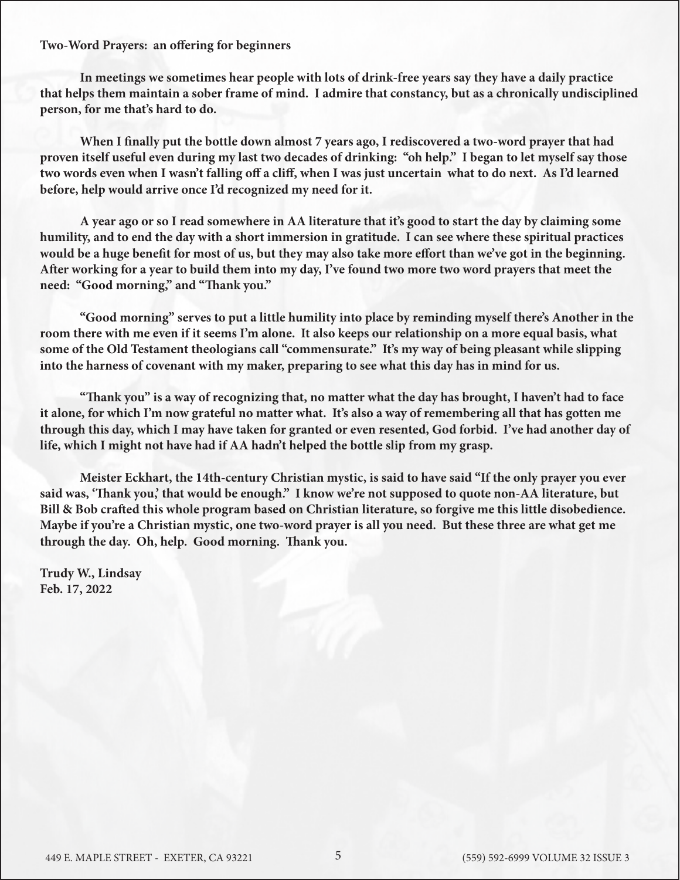**Two-Word Prayers: an offering for beginners**

**In meetings we sometimes hear people with lots of drink-free years say they have a daily practice that helps them maintain a sober frame of mind. I admire that constancy, but as a chronically undisciplined person, for me that's hard to do.**

**When I finally put the bottle down almost 7 years ago, I rediscovered a two-word prayer that had proven itself useful even during my last two decades of drinking: "oh help." I began to let myself say those two words even when I wasn't falling off a cliff, when I was just uncertain what to do next. As I'd learned before, help would arrive once I'd recognized my need for it.**

**A year ago or so I read somewhere in AA literature that it's good to start the day by claiming some humility, and to end the day with a short immersion in gratitude. I can see where these spiritual practices would be a huge benefit for most of us, but they may also take more effort than we've got in the beginning. After working for a year to build them into my day, I've found two more two word prayers that meet the need: "Good morning," and "Thank you."**

**"Good morning" serves to put a little humility into place by reminding myself there's Another in the room there with me even if it seems I'm alone. It also keeps our relationship on a more equal basis, what some of the Old Testament theologians call "commensurate." It's my way of being pleasant while slipping into the harness of covenant with my maker, preparing to see what this day has in mind for us.**

**"Thank you" is a way of recognizing that, no matter what the day has brought, I haven't had to face it alone, for which I'm now grateful no matter what. It's also a way of remembering all that has gotten me through this day, which I may have taken for granted or even resented, God forbid. I've had another day of life, which I might not have had if AA hadn't helped the bottle slip from my grasp.**

**Meister Eckhart, the 14th-century Christian mystic, is said to have said "If the only prayer you ever said was, 'Thank you,' that would be enough." I know we're not supposed to quote non-AA literature, but Bill & Bob crafted this whole program based on Christian literature, so forgive me this little disobedience. Maybe if you're a Christian mystic, one two-word prayer is all you need. But these three are what get me through the day. Oh, help. Good morning. Thank you.**

**Trudy W., Lindsay Feb. 17, 2022**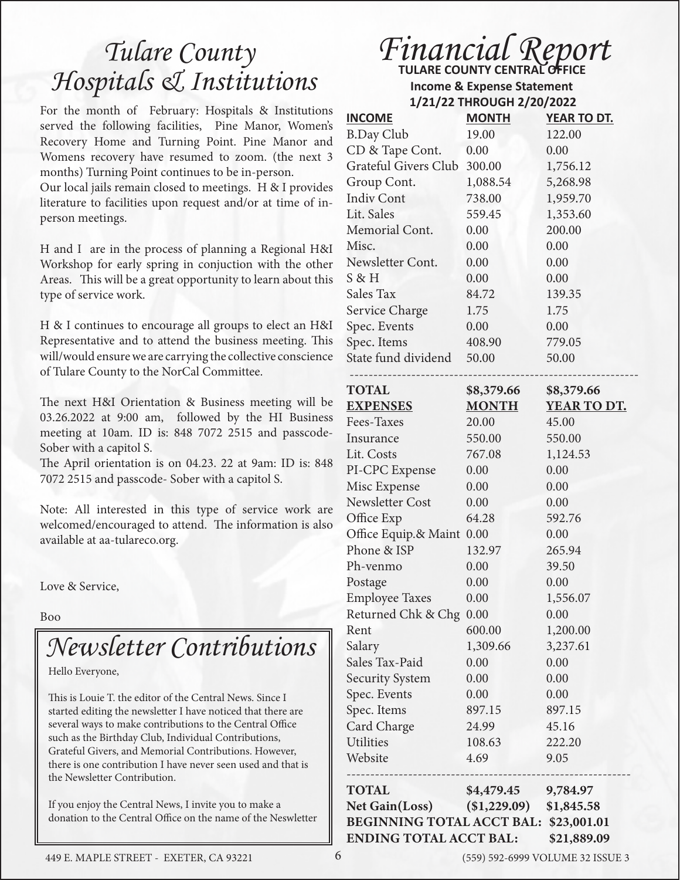## *Tulare County Hospitals & Institutions*

For the month of February: Hospitals & Institutions served the following facilities, Pine Manor, Women's Recovery Home and Turning Point. Pine Manor and Womens recovery have resumed to zoom. (the next 3 months) Turning Point continues to be in-person.

Our local jails remain closed to meetings. H & I provides literature to facilities upon request and/or at time of inperson meetings.

H and I are in the process of planning a Regional H&I Workshop for early spring in conjuction with the other Areas. This will be a great opportunity to learn about this type of service work.

H & I continues to encourage all groups to elect an H&I Representative and to attend the business meeting. This will/would ensure we are carrying the collective conscience of Tulare County to the NorCal Committee.

The next H&I Orientation & Business meeting will be 03.26.2022 at 9:00 am, followed by the HI Business meeting at 10am. ID is: 848 7072 2515 and passcode-Sober with a capitol S.

The April orientation is on 04.23. 22 at 9am: ID is: 848 7072 2515 and passcode- Sober with a capitol S.

Note: All interested in this type of service work are welcomed/encouraged to attend. The information is also available at aa-tulareco.org.

Love & Service,

Boo

## *Newsletter Contributions*

Hello Everyone,

This is Louie T. the editor of the Central News. Since I started editing the newsletter I have noticed that there are several ways to make contributions to the Central Office such as the Birthday Club, Individual Contributions, Grateful Givers, and Memorial Contributions. However, there is one contribution I have never seen used and that is the Newsletter Contribution.

If you enjoy the Central News, I invite you to make a donation to the Central Office on the name of the Neswletter

### **TULARE COUNTY CENTRAL OFFICE** *Financial Report*

 **Income & Expense Statement 1/21/22 THROUGH 2/20/2022**

| <b>INCOME</b>                                   | <b>MONTH</b> | YEAR TO DT. |  |
|-------------------------------------------------|--------------|-------------|--|
| <b>B.Day Club</b>                               | 19.00        | 122.00      |  |
| CD & Tape Cont.                                 | 0.00         | 0.00        |  |
| Grateful Givers Club                            | 300.00       | 1,756.12    |  |
| Group Cont.                                     | 1,088.54     | 5,268.98    |  |
| <b>Indiv Cont</b>                               | 738.00       | 1,959.70    |  |
| Lit. Sales                                      | 559.45       | 1,353.60    |  |
| Memorial Cont.                                  | 0.00         | 200.00      |  |
| Misc.                                           | 0.00         | 0.00        |  |
| Newsletter Cont.                                | 0.00         | 0.00        |  |
| $S \& H$                                        | 0.00         | 0.00        |  |
| Sales Tax                                       | 84.72        | 139.35      |  |
| Service Charge                                  | 1.75         | 1.75        |  |
| Spec. Events                                    | 0.00         | 0.00        |  |
| Spec. Items                                     | 408.90       | 779.05      |  |
| State fund dividend                             | 50.00        | 50.00       |  |
| <b>TOTAL</b>                                    | \$8,379.66   | \$8,379.66  |  |
| <b>EXPENSES</b>                                 | <b>MONTH</b> | YEAR TO DT. |  |
| Fees-Taxes                                      | 20.00        | 45.00       |  |
| Insurance                                       | 550.00       | 550.00      |  |
| Lit. Costs                                      | 767.08       | 1,124.53    |  |
| PI-CPC Expense                                  | 0.00         | 0.00        |  |
| Misc Expense                                    | 0.00         | 0.00        |  |
| <b>Newsletter Cost</b>                          | 0.00         | 0.00        |  |
| Office Exp                                      | 64.28        | 592.76      |  |
| Office Equip.& Maint 0.00                       |              | 0.00        |  |
| Phone & ISP                                     | 132.97       | 265.94      |  |
| Ph-venmo                                        | 0.00         | 39.50       |  |
| Postage                                         | 0.00         | 0.00        |  |
| <b>Employee Taxes</b>                           | 0.00         | 1,556.07    |  |
| Returned Chk & Chg                              | 0.00         | 0.00        |  |
| Rent                                            | 600.00       | 1,200.00    |  |
| Salary                                          | 1,309.66     | 3,237.61    |  |
| Sales Tax-Paid                                  | 0.00         | 0.00        |  |
| <b>Security System</b>                          | 0.00         | 0.00        |  |
| Spec. Events                                    | 0.00         | 0.00        |  |
| Spec. Items                                     | 897.15       | 897.15      |  |
| Card Charge                                     | 24.99        | 45.16       |  |
| <b>Utilities</b>                                | 108.63       | 222.20      |  |
| Website                                         | 4.69         | 9.05        |  |
| <b>TOTAL</b>                                    | \$4,479.45   | 9,784.97    |  |
| <b>Net Gain(Loss)</b>                           | (\$1,229.09) | \$1,845.58  |  |
| <b>BEGINNING TOTAL ACCT BAL:</b><br>\$23,001.01 |              |             |  |
| <b>ENDING TOTAL ACCT BAL:</b><br>\$21,889.09    |              |             |  |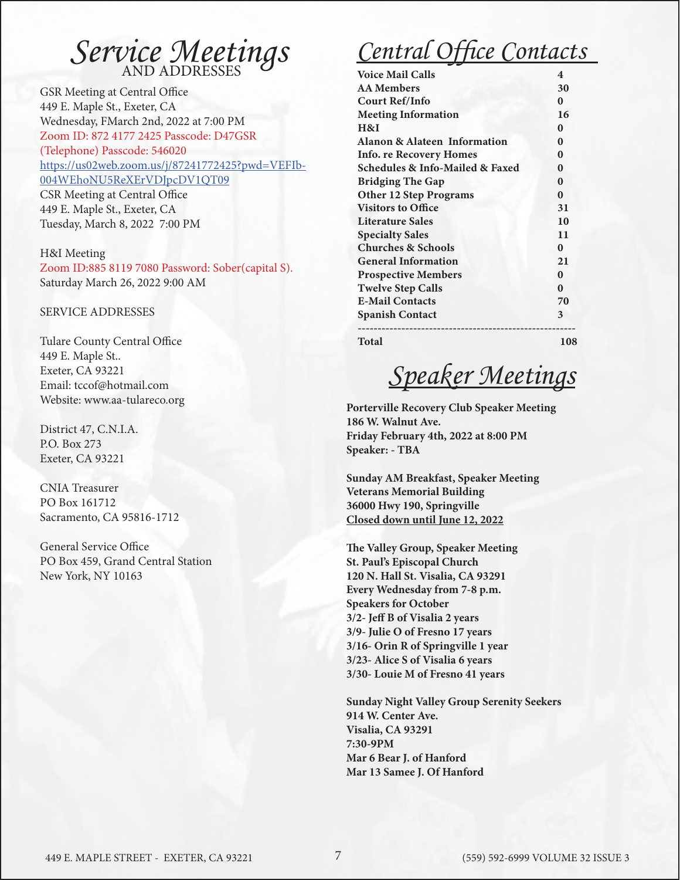## *Service Meetings*

GSR Meeting at Central Office 449 E. Maple St., Exeter, CA Wednesday, FMarch 2nd, 2022 at 7:00 PM Zoom ID: 872 4177 2425 Passcode: D47GSR (Telephone) Passcode: 546020 [https://us02web.zoom.us/j/87241772425?pwd=VEFIb-](https://us02web.zoom.us/j/87241772425?pwd=VEFIb004WEhoNU5ReXErVDJpcDV1QT09)[004WEhoNU5ReXErVDJpcDV1QT09](https://us02web.zoom.us/j/87241772425?pwd=VEFIb004WEhoNU5ReXErVDJpcDV1QT09) CSR Meeting at Central Office 449 E. Maple St., Exeter, CA Tuesday, March 8, 2022 7:00 PM

#### H&I Meeting

Zoom ID:885 8119 7080 Password: Sober(capital S). Saturday March 26, 2022 9:00 AM

SERVICE ADDRESSES

Tulare County Central Office 449 E. Maple St.. Exeter, CA 93221 Email: tccof@hotmail.com Website: www.aa-tulareco.org

District 47, C.N.I.A. P.O. Box 273 Exeter, CA 93221

CNIA Treasurer PO Box 161712 Sacramento, CA 95816-1712

General Service Office PO Box 459, Grand Central Station New York, NY 10163

## *Central Office Contacts*

| <b>Voice Mail Calls</b>                 | 4        |
|-----------------------------------------|----------|
| <b>AA Members</b>                       | 30       |
| <b>Court Ref/Info</b>                   | $\bf{0}$ |
| <b>Meeting Information</b>              | 16       |
| H&I                                     | $\bf{0}$ |
| <b>Alanon &amp; Alateen Information</b> | $\bf{0}$ |
| <b>Info. re Recovery Homes</b>          | $\bf{0}$ |
| Schedules & Info-Mailed & Faxed         | $\bf{0}$ |
| <b>Bridging The Gap</b>                 | $\bf{0}$ |
| <b>Other 12 Step Programs</b>           | $\bf{0}$ |
| <b>Visitors to Office</b>               | 31       |
| <b>Literature Sales</b>                 | 10       |
| <b>Specialty Sales</b>                  | 11       |
| <b>Churches &amp; Schools</b>           | $\bf{0}$ |
| <b>General Information</b>              | 21       |
| <b>Prospective Members</b>              | $\bf{0}$ |
| <b>Twelve Step Calls</b>                | $\bf{0}$ |
| <b>E-Mail Contacts</b>                  | 70       |
| <b>Spanish Contact</b>                  | 3        |
| Total                                   | 108      |

## *Speaker Meetings*

**Porterville Recovery Club Speaker Meeting 186 W. Walnut Ave. Friday February 4th, 2022 at 8:00 PM Speaker: - TBA**

**Sunday AM Breakfast, Speaker Meeting Veterans Memorial Building 36000 Hwy 190, Springville Closed down until June 12, 2022**

**The Valley Group, Speaker Meeting St. Paul's Episcopal Church 120 N. Hall St. Visalia, CA 93291 Every Wednesday from 7-8 p.m. Speakers for October 3/2- Jeff B of Visalia 2 years 3/9- Julie O of Fresno 17 years 3/16- Orin R of Springville 1 year 3/23- Alice S of Visalia 6 years 3/30- Louie M of Fresno 41 years** 

**Sunday Night Valley Group Serenity Seekers 914 W. Center Ave. Visalia, CA 93291 7:30-9PM Mar 6 Bear J. of Hanford Mar 13 Samee J. Of Hanford**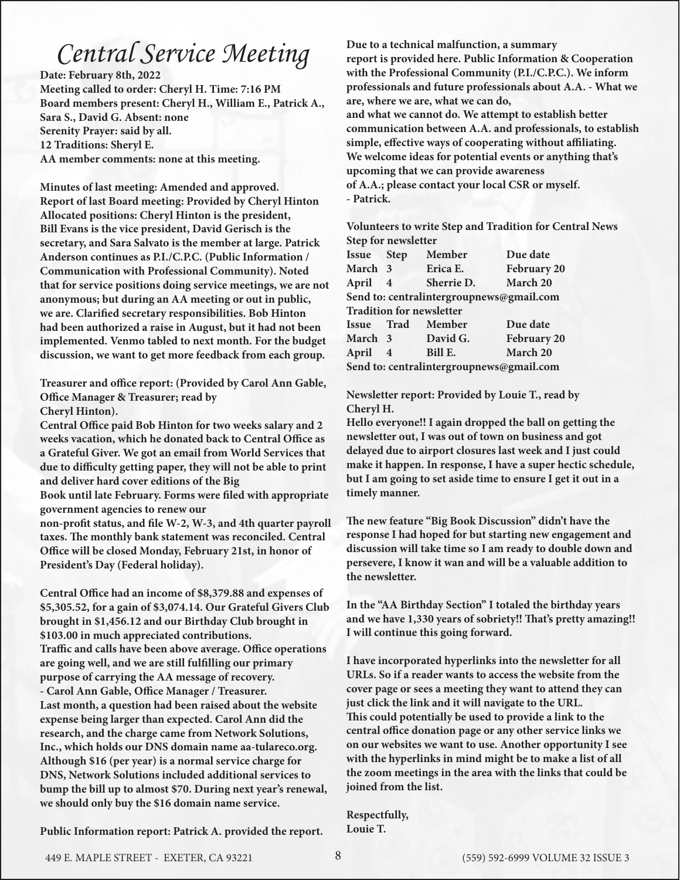## *Central Service Meeting*

**Date: February 8th, 2022 Meeting called to order: Cheryl H. Time: 7:16 PM Board members present: Cheryl H., William E., Patrick A., Sara S., David G. Absent: none Serenity Prayer: said by all. 12 Traditions: Sheryl E. AA member comments: none at this meeting.**

**Minutes of last meeting: Amended and approved. Report of last Board meeting: Provided by Cheryl Hinton Allocated positions: Cheryl Hinton is the president, Bill Evans is the vice president, David Gerisch is the secretary, and Sara Salvato is the member at large. Patrick Anderson continues as P.I./C.P.C. (Public Information / Communication with Professional Community). Noted that for service positions doing service meetings, we are not anonymous; but during an AA meeting or out in public, we are. Clarified secretary responsibilities. Bob Hinton had been authorized a raise in August, but it had not been implemented. Venmo tabled to next month. For the budget discussion, we want to get more feedback from each group.**

**Treasurer and office report: (Provided by Carol Ann Gable, Office Manager & Treasurer; read by**

**Cheryl Hinton).**

**Central Office paid Bob Hinton for two weeks salary and 2 weeks vacation, which he donated back to Central Office as a Grateful Giver. We got an email from World Services that due to difficulty getting paper, they will not be able to print and deliver hard cover editions of the Big**

**Book until late February. Forms were filed with appropriate government agencies to renew our** 

**non-profit status, and file W-2, W-3, and 4th quarter payroll taxes. The monthly bank statement was reconciled. Central Office will be closed Monday, February 21st, in honor of President's Day (Federal holiday).** 

**Central Office had an income of \$8,379.88 and expenses of \$5,305.52, for a gain of \$3,074.14. Our Grateful Givers Club brought in \$1,456.12 and our Birthday Club brought in \$103.00 in much appreciated contributions. Traffic and calls have been above average. Office operations are going well, and we are still fulfilling our primary purpose of carrying the AA message of recovery. - Carol Ann Gable, Office Manager / Treasurer. Last month, a question had been raised about the website expense being larger than expected. Carol Ann did the research, and the charge came from Network Solutions, Inc., which holds our DNS domain name aa-tulareco.org. Although \$16 (per year) is a normal service charge for DNS, Network Solutions included additional services to bump the bill up to almost \$70. During next year's renewal, we should only buy the \$16 domain name service.**

**Public Information report: Patrick A. provided the report.** 

**Due to a technical malfunction, a summary report is provided here. Public Information & Cooperation with the Professional Community (P.I./C.P.C.). We inform professionals and future professionals about A.A. - What we are, where we are, what we can do, and what we cannot do. We attempt to establish better communication between A.A. and professionals, to establish simple, effective ways of cooperating without affiliating. We welcome ideas for potential events or anything that's upcoming that we can provide awareness of A.A.; please contact your local CSR or myself. - Patrick.**

**Volunteers to write Step and Tradition for Central News Step for newsletter** 

| Issue Step                               |                | Member                   | Due date    |
|------------------------------------------|----------------|--------------------------|-------------|
| March 3                                  |                | Erica E.                 | February 20 |
| April 4                                  |                | Sherrie D.               | March 20    |
| Send to: centralintergroupnews@gmail.com |                |                          |             |
| <b>Tradition for newsletter</b>          |                |                          |             |
|                                          |                | <b>Issue Trad Member</b> | Due date    |
| March 3                                  |                | David G.                 | February 20 |
| April                                    | $\overline{4}$ | Bill E.                  | March 20    |
| Send to: centralintergroupnews@gmail.com |                |                          |             |

**Newsletter report: Provided by Louie T., read by Cheryl H.**

**Hello everyone!! I again dropped the ball on getting the newsletter out, I was out of town on business and got delayed due to airport closures last week and I just could make it happen. In response, I have a super hectic schedule, but I am going to set aside time to ensure I get it out in a timely manner.**

**The new feature "Big Book Discussion" didn't have the response I had hoped for but starting new engagement and discussion will take time so I am ready to double down and persevere, I know it wan and will be a valuable addition to the newsletter.**

**In the "AA Birthday Section" I totaled the birthday years and we have 1,330 years of sobriety!! That's pretty amazing!! I will continue this going forward.**

**I have incorporated hyperlinks into the newsletter for all URLs. So if a reader wants to access the website from the cover page or sees a meeting they want to attend they can just click the link and it will navigate to the URL. This could potentially be used to provide a link to the central office donation page or any other service links we on our websites we want to use. Another opportunity I see with the hyperlinks in mind might be to make a list of all the zoom meetings in the area with the links that could be joined from the list.**

**Respectfully, Louie T.**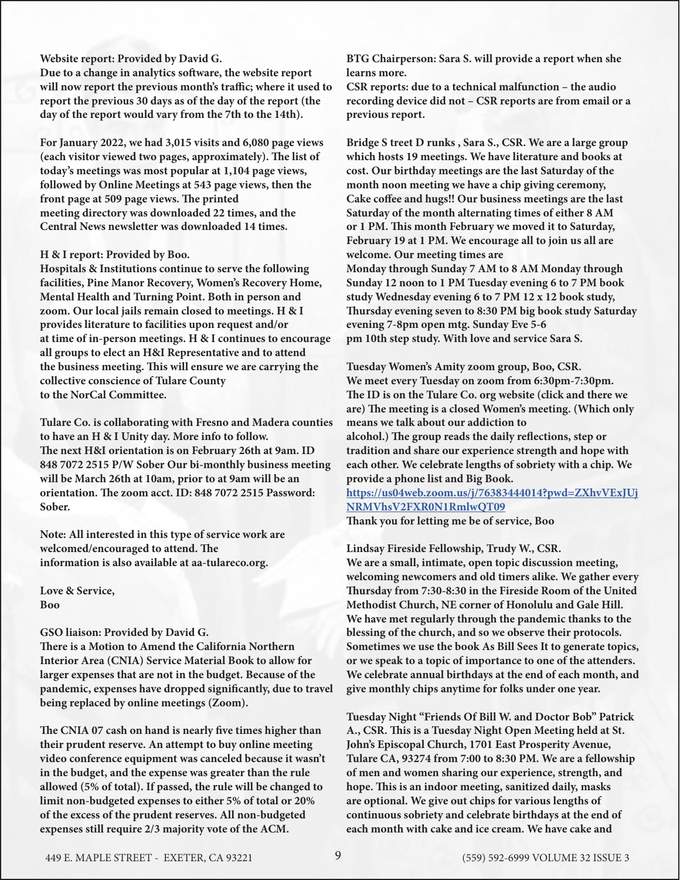#### **Website report: Provided by David G.**

**Due to a change in analytics software, the website report will now report the previous month's traffic; where it used to report the previous 30 days as of the day of the report (the day of the report would vary from the 7th to the 14th).**

**For January 2022, we had 3,015 visits and 6,080 page views (each visitor viewed two pages, approximately). The list of today's meetings was most popular at 1,104 page views, followed by Online Meetings at 543 page views, then the front page at 509 page views. The printed meeting directory was downloaded 22 times, and the Central News newsletter was downloaded 14 times.**

#### **H & I report: Provided by Boo.**

**Hospitals & Institutions continue to serve the following facilities, Pine Manor Recovery, Women's Recovery Home, Mental Health and Turning Point. Both in person and zoom. Our local jails remain closed to meetings. H & I provides literature to facilities upon request and/or at time of in-person meetings. H & I continues to encourage all groups to elect an H&I Representative and to attend the business meeting. This will ensure we are carrying the collective conscience of Tulare County to the NorCal Committee.**

**Tulare Co. is collaborating with Fresno and Madera counties to have an H & I Unity day. More info to follow. The next H&I orientation is on February 26th at 9am. ID 848 7072 2515 P/W Sober Our bi-monthly business meeting will be March 26th at 10am, prior to at 9am will be an orientation. The zoom acct. ID: 848 7072 2515 Password: Sober.**

**Note: All interested in this type of service work are welcomed/encouraged to attend. The information is also available at aa-tulareco.org.**

**Love & Service, Boo**

#### **GSO liaison: Provided by David G.**

**There is a Motion to Amend the California Northern Interior Area (CNIA) Service Material Book to allow for larger expenses that are not in the budget. Because of the pandemic, expenses have dropped significantly, due to travel being replaced by online meetings (Zoom).**

**The CNIA 07 cash on hand is nearly five times higher than their prudent reserve. An attempt to buy online meeting video conference equipment was canceled because it wasn't in the budget, and the expense was greater than the rule allowed (5% of total). If passed, the rule will be changed to limit non-budgeted expenses to either 5% of total or 20% of the excess of the prudent reserves. All non-budgeted expenses still require 2/3 majority vote of the ACM.**

**BTG Chairperson: Sara S. will provide a report when she learns more.** 

**CSR reports: due to a technical malfunction – the audio recording device did not – CSR reports are from email or a previous report.**

**Bridge S treet D runks , Sara S., CSR. We are a large group which hosts 19 meetings. We have literature and books at cost. Our birthday meetings are the last Saturday of the month noon meeting we have a chip giving ceremony, Cake coffee and hugs!! Our business meetings are the last Saturday of the month alternating times of either 8 AM or 1 PM. This month February we moved it to Saturday, February 19 at 1 PM. We encourage all to join us all are welcome. Our meeting times are Monday through Sunday 7 AM to 8 AM Monday through Sunday 12 noon to 1 PM Tuesday evening 6 to 7 PM book study Wednesday evening 6 to 7 PM 12 x 12 book study, Thursday evening seven to 8:30 PM big book study Saturday evening 7-8pm open mtg. Sunday Eve 5-6 pm 10th step study. With love and service Sara S.**

**Tuesday Women's Amity zoom group, Boo, CSR. We meet every Tuesday on zoom from 6:30pm-7:30pm. The ID is on the Tulare Co. org website (click and there we are) The meeting is a closed Women's meeting. (Which only means we talk about our addiction to alcohol.) The group reads the daily reflections, step or tradition and share our experience strength and hope with each other. We celebrate lengths of sobriety with a chip. We provide a phone list and Big Book.**

#### **[https://us04web.zoom.us/j/76383444014?pwd=ZXhvVExJUj](https://us04web.zoom.us/j/76383444014?pwd=ZXhvVExJUjNRMVhsV2FXR0N1RmlwQT09 ) [NRMVhsV2FXR0N1RmlwQT09](https://us04web.zoom.us/j/76383444014?pwd=ZXhvVExJUjNRMVhsV2FXR0N1RmlwQT09 ) Thank you for letting me be of service, Boo**

**Lindsay Fireside Fellowship, Trudy W., CSR. We are a small, intimate, open topic discussion meeting, welcoming newcomers and old timers alike. We gather every Thursday from 7:30-8:30 in the Fireside Room of the United Methodist Church, NE corner of Honolulu and Gale Hill. We have met regularly through the pandemic thanks to the blessing of the church, and so we observe their protocols. Sometimes we use the book As Bill Sees It to generate topics, or we speak to a topic of importance to one of the attenders. We celebrate annual birthdays at the end of each month, and give monthly chips anytime for folks under one year.**

**Tuesday Night "Friends Of Bill W. and Doctor Bob" Patrick A., CSR. This is a Tuesday Night Open Meeting held at St. John's Episcopal Church, 1701 East Prosperity Avenue, Tulare CA, 93274 from 7:00 to 8:30 PM. We are a fellowship of men and women sharing our experience, strength, and hope. This is an indoor meeting, sanitized daily, masks are optional. We give out chips for various lengths of continuous sobriety and celebrate birthdays at the end of each month with cake and ice cream. We have cake and**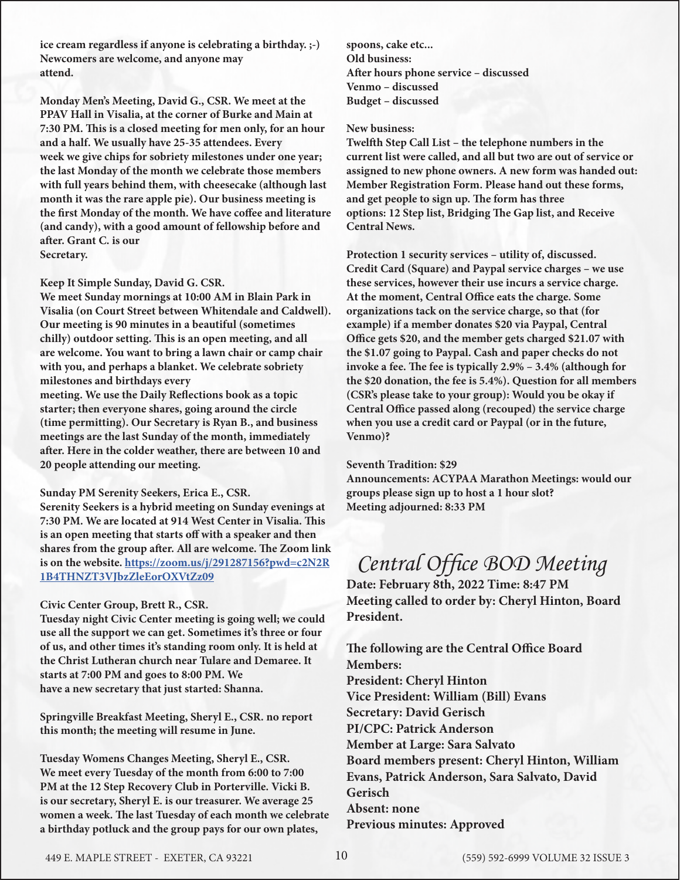**ice cream regardless if anyone is celebrating a birthday. ;-) Newcomers are welcome, and anyone may attend.**

**Monday Men's Meeting, David G., CSR. We meet at the PPAV Hall in Visalia, at the corner of Burke and Main at 7:30 PM. This is a closed meeting for men only, for an hour and a half. We usually have 25-35 attendees. Every week we give chips for sobriety milestones under one year; the last Monday of the month we celebrate those members with full years behind them, with cheesecake (although last month it was the rare apple pie). Our business meeting is the first Monday of the month. We have coffee and literature (and candy), with a good amount of fellowship before and after. Grant C. is our Secretary.**

#### **Keep It Simple Sunday, David G. CSR.**

**We meet Sunday mornings at 10:00 AM in Blain Park in Visalia (on Court Street between Whitendale and Caldwell). Our meeting is 90 minutes in a beautiful (sometimes chilly) outdoor setting. This is an open meeting, and all are welcome. You want to bring a lawn chair or camp chair with you, and perhaps a blanket. We celebrate sobriety milestones and birthdays every**

**meeting. We use the Daily Reflections book as a topic starter; then everyone shares, going around the circle (time permitting). Our Secretary is Ryan B., and business meetings are the last Sunday of the month, immediately after. Here in the colder weather, there are between 10 and 20 people attending our meeting.**

#### **Sunday PM Serenity Seekers, Erica E., CSR.**

**Serenity Seekers is a hybrid meeting on Sunday evenings at 7:30 PM. We are located at 914 West Center in Visalia. This is an open meeting that starts off with a speaker and then shares from the group after. All are welcome. The Zoom link is on the website. [https://zoom.us/j/291287156?pwd=c2N2R](https://zoom.us/j/291287156?pwd=c2N2R1B4THNZT3VJbzZleEorOXVtZz09) [1B4THNZT3VJbzZleEorOXVtZz09](https://zoom.us/j/291287156?pwd=c2N2R1B4THNZT3VJbzZleEorOXVtZz09)**

#### **Civic Center Group, Brett R., CSR.**

**Tuesday night Civic Center meeting is going well; we could use all the support we can get. Sometimes it's three or four of us, and other times it's standing room only. It is held at the Christ Lutheran church near Tulare and Demaree. It starts at 7:00 PM and goes to 8:00 PM. We have a new secretary that just started: Shanna.**

**Springville Breakfast Meeting, Sheryl E., CSR. no report this month; the meeting will resume in June.** 

**Tuesday Womens Changes Meeting, Sheryl E., CSR. We meet every Tuesday of the month from 6:00 to 7:00 PM at the 12 Step Recovery Club in Porterville. Vicki B. is our secretary, Sheryl E. is our treasurer. We average 25 women a week. The last Tuesday of each month we celebrate a birthday potluck and the group pays for our own plates,** 

**spoons, cake etc... Old business: After hours phone service – discussed Venmo – discussed Budget – discussed**

#### **New business:**

**Twelfth Step Call List – the telephone numbers in the current list were called, and all but two are out of service or assigned to new phone owners. A new form was handed out: Member Registration Form. Please hand out these forms, and get people to sign up. The form has three options: 12 Step list, Bridging The Gap list, and Receive Central News.**

**Protection 1 security services – utility of, discussed. Credit Card (Square) and Paypal service charges – we use these services, however their use incurs a service charge. At the moment, Central Office eats the charge. Some organizations tack on the service charge, so that (for example) if a member donates \$20 via Paypal, Central Office gets \$20, and the member gets charged \$21.07 with the \$1.07 going to Paypal. Cash and paper checks do not invoke a fee. The fee is typically 2.9% – 3.4% (although for the \$20 donation, the fee is 5.4%). Question for all members (CSR's please take to your group): Would you be okay if Central Office passed along (recouped) the service charge when you use a credit card or Paypal (or in the future, Venmo)?**

#### **Seventh Tradition: \$29**

**Announcements: ACYPAA Marathon Meetings: would our groups please sign up to host a 1 hour slot? Meeting adjourned: 8:33 PM**

### *Central Office BOD Meeting*

**Date: February 8th, 2022 Time: 8:47 PM Meeting called to order by: Cheryl Hinton, Board President.**

**The following are the Central Office Board Members: President: Cheryl Hinton Vice President: William (Bill) Evans Secretary: David Gerisch PI/CPC: Patrick Anderson Member at Large: Sara Salvato Board members present: Cheryl Hinton, William Evans, Patrick Anderson, Sara Salvato, David Gerisch Absent: none Previous minutes: Approved**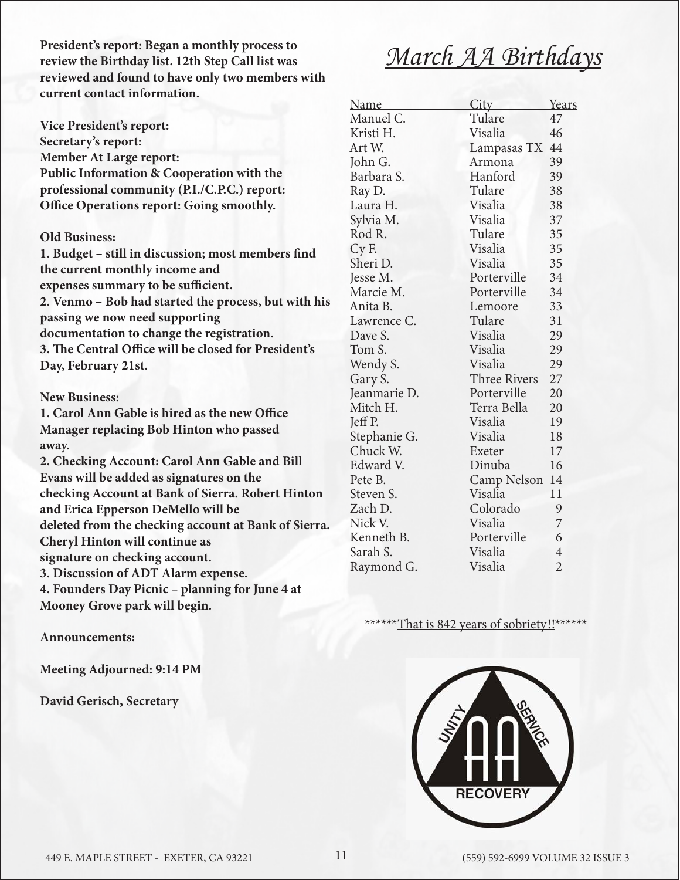**President's report: Began a monthly process to review the Birthday list. 12th Step Call list was reviewed and found to have only two members with current contact information.**

**Vice President's report: Secretary's report: Member At Large report: Public Information & Cooperation with the professional community (P.I./C.P.C.) report: Office Operations report: Going smoothly.**

#### **Old Business:**

**1. Budget – still in discussion; most members find the current monthly income and expenses summary to be sufficient. 2. Venmo – Bob had started the process, but with his passing we now need supporting**

**documentation to change the registration.**

**3. The Central Office will be closed for President's Day, February 21st.**

#### **New Business:**

**1. Carol Ann Gable is hired as the new Office Manager replacing Bob Hinton who passed away.**

**2. Checking Account: Carol Ann Gable and Bill Evans will be added as signatures on the checking Account at Bank of Sierra. Robert Hinton and Erica Epperson DeMello will be deleted from the checking account at Bank of Sierra. Cheryl Hinton will continue as signature on checking account. 3. Discussion of ADT Alarm expense.**

**4. Founders Day Picnic – planning for June 4 at** 

**Mooney Grove park will begin.**

#### **Announcements:**

**Meeting Adjourned: 9:14 PM**

**David Gerisch, Secretary**

## *March AA Birthdays*

| Name         | City         | Years          |
|--------------|--------------|----------------|
| Manuel C.    | Tulare       | 47             |
| Kristi H.    | Visalia      | 46             |
| Art W.       | Lampasas TX  | 44             |
| John G.      | Armona       | 39             |
| Barbara S.   | Hanford      | 39             |
| Ray D.       | Tulare       | 38             |
| Laura H.     | Visalia      | 38             |
| Sylvia M.    | Visalia      | 37             |
| Rod R.       | Tulare       | 35             |
| Cy F.        | Visalia      | 35             |
| Sheri D.     | Visalia      | 35             |
| Jesse M.     | Porterville  | 34             |
| Marcie M.    | Porterville  | 34             |
| Anita B.     | Lemoore      | 33             |
| Lawrence C.  | Tulare       | 31             |
| Dave S.      | Visalia      | 29             |
| Tom S.       | Visalia      | 29             |
| Wendy S.     | Visalia      | 29             |
| Gary S.      | Three Rivers | 27             |
| Jeanmarie D. | Porterville  | 20             |
| Mitch H.     | Terra Bella  | 20             |
| Jeff P.      | Visalia      | 19             |
| Stephanie G. | Visalia      | 18             |
| Chuck W.     | Exeter       | 17             |
| Edward V.    | Dinuba       | 16             |
| Pete B.      | Camp Nelson  | 14             |
| Steven S.    | Visalia      | 11             |
| Zach D.      | Colorado     | 9              |
| Nick V.      | Visalia      | 7              |
| Kenneth B.   | Porterville  | 6              |
| Sarah S.     | Visalia      | $\overline{4}$ |
| Raymond G.   | Visalia      | $\overline{2}$ |
|              |              |                |

#### That is 842 years of sobriety!!\*

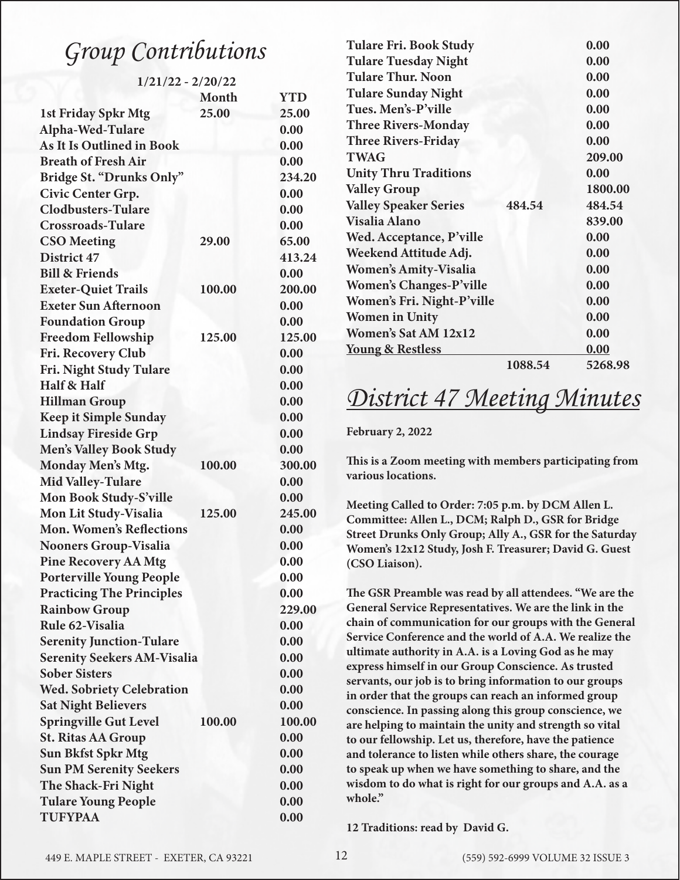## Group Contributions

1/21/22 - 2/20/22

|                                    | Month  | <b>YTD</b> |
|------------------------------------|--------|------------|
| <b>1st Friday Spkr Mtg</b>         | 25.00  | 25.00      |
| Alpha-Wed-Tulare                   |        | 0.00       |
| <b>As It Is Outlined in Book</b>   |        | 0.00       |
| <b>Breath of Fresh Air</b>         |        | 0.00       |
| Bridge St. "Drunks Only"           |        | 234.20     |
| Civic Center Grp.                  |        | 0.00       |
| <b>Clodbusters-Tulare</b>          |        | 0.00       |
| <b>Crossroads-Tulare</b>           |        | 0.00       |
| <b>CSO</b> Meeting                 | 29.00  | 65.00      |
| District 47                        |        | 413.24     |
| <b>Bill &amp; Friends</b>          |        | 0.00       |
| <b>Exeter-Quiet Trails</b>         | 100.00 | 200.00     |
| <b>Exeter Sun Afternoon</b>        |        | 0.00       |
| <b>Foundation Group</b>            |        | 0.00       |
| <b>Freedom Fellowship</b>          | 125.00 | 125.00     |
| Fri. Recovery Club                 |        | 0.00       |
| Fri. Night Study Tulare            |        | 0.00       |
| Half & Half                        |        | 0.00       |
| <b>Hillman Group</b>               |        | 0.00       |
| <b>Keep it Simple Sunday</b>       |        | 0.00       |
| <b>Lindsay Fireside Grp</b>        |        | 0.00       |
| <b>Men's Valley Book Study</b>     |        | 0.00       |
| Monday Men's Mtg.                  | 100.00 | 300.00     |
| <b>Mid Valley-Tulare</b>           |        | 0.00       |
| Mon Book Study-S'ville             |        | 0.00       |
| Mon Lit Study-Visalia              | 125.00 | 245.00     |
| <b>Mon. Women's Reflections</b>    |        | 0.00       |
| <b>Nooners Group-Visalia</b>       |        | 0.00       |
| <b>Pine Recovery AA Mtg</b>        |        | 0.00       |
| <b>Porterville Young People</b>    |        | 0.00       |
| <b>Practicing The Principles</b>   |        | 0.00       |
| <b>Rainbow Group</b>               |        | 229.00     |
| Rule 62-Visalia                    |        | 0.00       |
| <b>Serenity Junction-Tulare</b>    |        | 0.00       |
| <b>Serenity Seekers AM-Visalia</b> |        | 0.00       |
| <b>Sober Sisters</b>               |        | 0.00       |
| <b>Wed. Sobriety Celebration</b>   |        | 0.00       |
| <b>Sat Night Believers</b>         |        | 0.00       |
| <b>Springville Gut Level</b>       | 100.00 | 100.00     |
| <b>St. Ritas AA Group</b>          |        | 0.00       |
| <b>Sun Bkfst Spkr Mtg</b>          |        | 0.00       |
| <b>Sun PM Serenity Seekers</b>     |        | 0.00       |
| The Shack-Fri Night                |        | 0.00       |
| <b>Tulare Young People</b>         |        | 0.00       |
| <b>TUFYPAA</b>                     |        | 0.00       |
|                                    |        |            |

| <b>Tulare Fri. Book Study</b>  |         | 0.00    |
|--------------------------------|---------|---------|
| <b>Tulare Tuesday Night</b>    |         | 0.00    |
| <b>Tulare Thur. Noon</b>       |         | 0.00    |
| <b>Tulare Sunday Night</b>     |         | 0.00    |
| Tues. Men's-P'ville            |         | 0.00    |
| <b>Three Rivers-Monday</b>     |         | 0.00    |
| <b>Three Rivers-Friday</b>     |         | 0.00    |
| <b>TWAG</b>                    |         | 209.00  |
| <b>Unity Thru Traditions</b>   |         | 0.00    |
| <b>Valley Group</b>            |         | 1800.00 |
| <b>Valley Speaker Series</b>   | 484.54  | 484.54  |
| Visalia Alano                  |         | 839.00  |
| Wed. Acceptance, P'ville       |         | 0.00    |
| Weekend Attitude Adj.          |         | 0.00    |
| <b>Women's Amity-Visalia</b>   |         | 0.00    |
| <b>Women's Changes-P'ville</b> |         | 0.00    |
| Women's Fri. Night-P'ville     |         | 0.00    |
| <b>Women in Unity</b>          |         | 0.00    |
| <b>Women's Sat AM 12x12</b>    |         | 0.00    |
| <u>Young &amp; Restless</u>    |         | 0.00    |
|                                | 1088.54 | 5268.98 |
|                                |         |         |

## *District 47 Meeting Minutes*

**February 2, 2022**

**This is a Zoom meeting with members participating from various locations.**

**Meeting Called to Order: 7:05 p.m. by DCM Allen L. Committee: Allen L., DCM; Ralph D., GSR for Bridge Street Drunks Only Group; Ally A., GSR for the Saturday Women's 12x12 Study, Josh F. Treasurer; David G. Guest (CSO Liaison).**

**The GSR Preamble was read by all attendees. "We are the General Service Representatives. We are the link in the chain of communication for our groups with the General Service Conference and the world of A.A. We realize the ultimate authority in A.A. is a Loving God as he may express himself in our Group Conscience. As trusted servants, our job is to bring information to our groups in order that the groups can reach an informed group conscience. In passing along this group conscience, we are helping to maintain the unity and strength so vital to our fellowship. Let us, therefore, have the patience and tolerance to listen while others share, the courage to speak up when we have something to share, and the wisdom to do what is right for our groups and A.A. as a whole."**

**12 Traditions: read by David G.**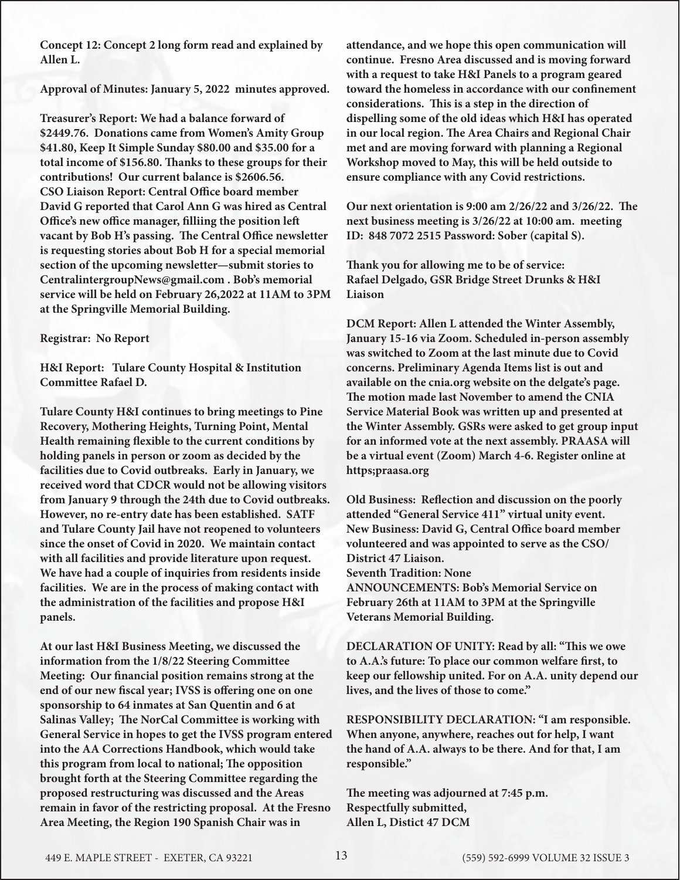**Concept 12: Concept 2 long form read and explained by Allen L.** 

**Approval of Minutes: January 5, 2022 minutes approved.**

**Treasurer's Report: We had a balance forward of \$2449.76. Donations came from Women's Amity Group \$41.80, Keep It Simple Sunday \$80.00 and \$35.00 for a total income of \$156.80. Thanks to these groups for their contributions! Our current balance is \$2606.56. CSO Liaison Report: Central Office board member David G reported that Carol Ann G was hired as Central Office's new office manager, filliing the position left vacant by Bob H's passing. The Central Office newsletter is requesting stories about Bob H for a special memorial section of the upcoming newsletter—submit stories to CentralintergroupNews@gmail.com . Bob's memorial service will be held on February 26,2022 at 11AM to 3PM at the Springville Memorial Building.** 

#### **Registrar: No Report**

**H&I Report: Tulare County Hospital & Institution Committee Rafael D.**

**Tulare County H&I continues to bring meetings to Pine Recovery, Mothering Heights, Turning Point, Mental Health remaining flexible to the current conditions by holding panels in person or zoom as decided by the facilities due to Covid outbreaks. Early in January, we received word that CDCR would not be allowing visitors from January 9 through the 24th due to Covid outbreaks. However, no re-entry date has been established. SATF and Tulare County Jail have not reopened to volunteers since the onset of Covid in 2020. We maintain contact with all facilities and provide literature upon request. We have had a couple of inquiries from residents inside facilities. We are in the process of making contact with the administration of the facilities and propose H&I panels.** 

**At our last H&I Business Meeting, we discussed the information from the 1/8/22 Steering Committee Meeting: Our financial position remains strong at the end of our new fiscal year; IVSS is offering one on one sponsorship to 64 inmates at San Quentin and 6 at Salinas Valley; The NorCal Committee is working with General Service in hopes to get the IVSS program entered into the AA Corrections Handbook, which would take this program from local to national; The opposition brought forth at the Steering Committee regarding the proposed restructuring was discussed and the Areas remain in favor of the restricting proposal. At the Fresno Area Meeting, the Region 190 Spanish Chair was in** 

**attendance, and we hope this open communication will continue. Fresno Area discussed and is moving forward with a request to take H&I Panels to a program geared toward the homeless in accordance with our confinement considerations. This is a step in the direction of dispelling some of the old ideas which H&I has operated in our local region. The Area Chairs and Regional Chair met and are moving forward with planning a Regional Workshop moved to May, this will be held outside to ensure compliance with any Covid restrictions.** 

**Our next orientation is 9:00 am 2/26/22 and 3/26/22. The next business meeting is 3/26/22 at 10:00 am. meeting ID: 848 7072 2515 Password: Sober (capital S).** 

**Thank you for allowing me to be of service: Rafael Delgado, GSR Bridge Street Drunks & H&I Liaison** 

**DCM Report: Allen L attended the Winter Assembly, January 15-16 via Zoom. Scheduled in-person assembly was switched to Zoom at the last minute due to Covid concerns. Preliminary Agenda Items list is out and available on the cnia.org website on the delgate's page. The motion made last November to amend the CNIA Service Material Book was written up and presented at the Winter Assembly. GSRs were asked to get group input for an informed vote at the next assembly. PRAASA will be a virtual event (Zoom) March 4-6. Register online at https;praasa.org**

**Old Business: Reflection and discussion on the poorly attended "General Service 411" virtual unity event. New Business: David G, Central Office board member volunteered and was appointed to serve as the CSO/ District 47 Liaison. Seventh Tradition: None ANNOUNCEMENTS: Bob's Memorial Service on February 26th at 11AM to 3PM at the Springville Veterans Memorial Building.** 

**DECLARATION OF UNITY: Read by all: "This we owe to A.A.'s future: To place our common welfare first, to keep our fellowship united. For on A.A. unity depend our lives, and the lives of those to come."**

**RESPONSIBILITY DECLARATION: "I am responsible. When anyone, anywhere, reaches out for help, I want the hand of A.A. always to be there. And for that, I am responsible."**

**The meeting was adjourned at 7:45 p.m. Respectfully submitted, Allen L, Distict 47 DCM**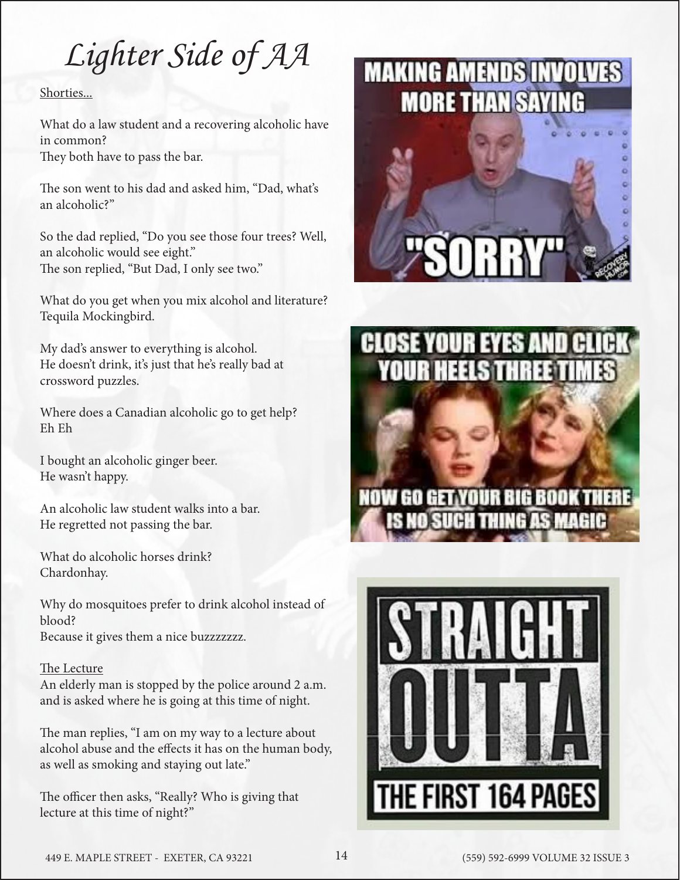## *Lighter Side of AA*

#### Shorties...

What do a law student and a recovering alcoholic have in common? They both have to pass the bar.

The son went to his dad and asked him, "Dad, what's an alcoholic?"

So the dad replied, "Do you see those four trees? Well, an alcoholic would see eight." The son replied, "But Dad, I only see two."

What do you get when you mix alcohol and literature? Tequila Mockingbird.

My dad's answer to everything is alcohol. He doesn't drink, it's just that he's really bad at crossword puzzles.

Where does a Canadian alcoholic go to get help? Eh Eh

I bought an alcoholic ginger beer. He wasn't happy.

An alcoholic law student walks into a bar. He regretted not passing the bar.

What do alcoholic horses drink? Chardonhay.

Why do mosquitoes prefer to drink alcohol instead of blood? Because it gives them a nice buzzzzzzz.

#### The Lecture

An elderly man is stopped by the police around 2 a.m. and is asked where he is going at this time of night.

The man replies, "I am on my way to a lecture about alcohol abuse and the effects it has on the human body, as well as smoking and staying out late."

The officer then asks, "Really? Who is giving that lecture at this time of night?"

## **MAKING AMENDS INVOLVES MORE THAN SAYING**





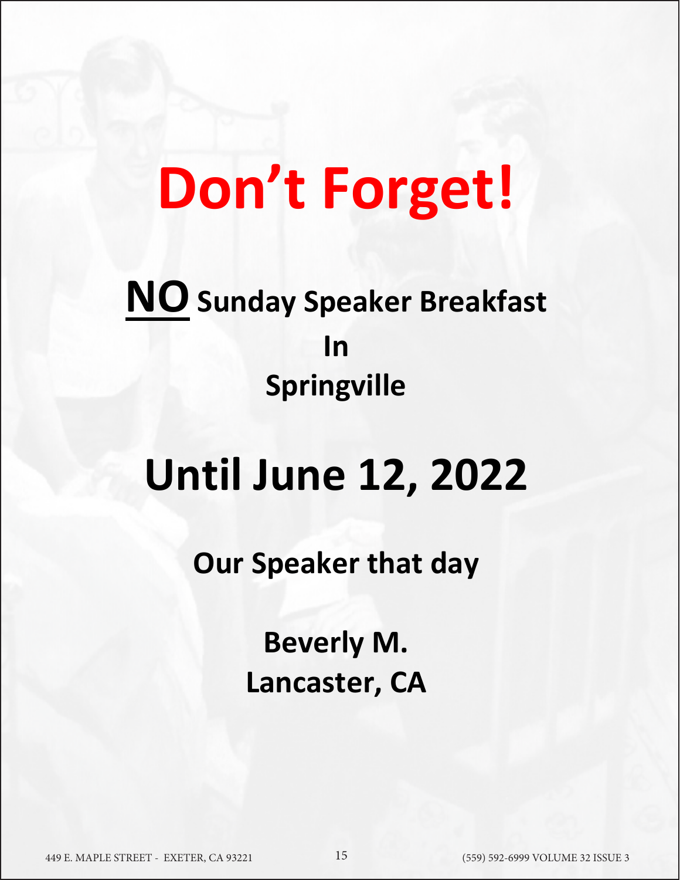# **Don't Forget!**

## **NO Sunday Speaker Breakfast In Springville**

# **Until June 12, 2022**

**Our Speaker that day** 

**Beverly M. Lancaster, CA**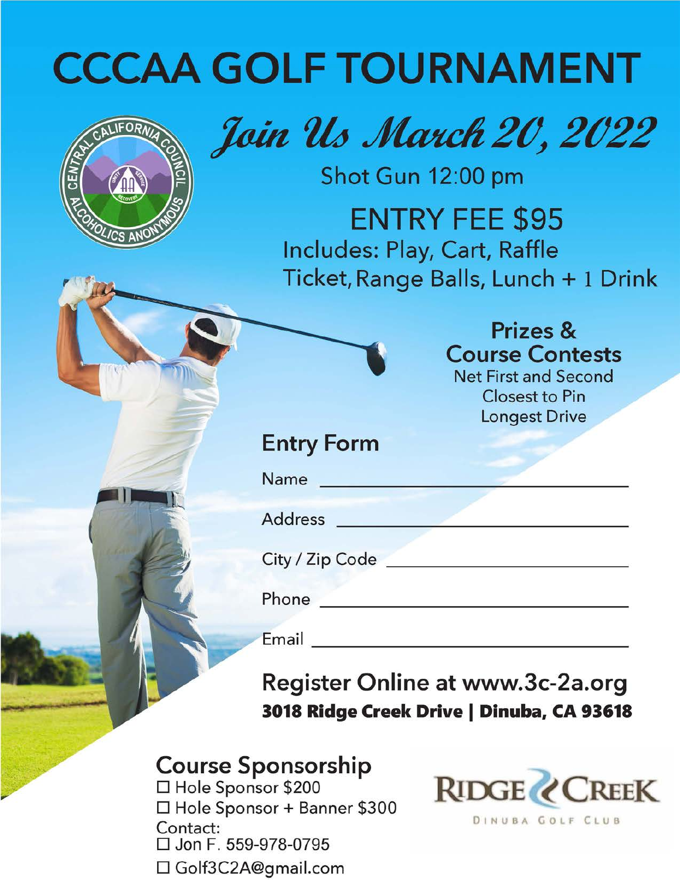# **CCCAA GOLF TOURNAMENT**



# Join Us March 20, 2022

Shot Gun 12:00 pm

**ENTRY FEE \$95** Includes: Play, Cart, Raffle Ticket, Range Balls, Lunch + 1 Drink

> Prizes & **Course Contests**

**Net First and Second Closest to Pin Longest Drive** 

## **Entry Form**

Name and the set of the set of the set of the set of the set of the set of the set of the set of the set of the set of the set of the set of the set of the set of the set of the set of the set of the set of the set of the

Address

City / Zip Code

**Phone** *Phone* 

Email and the contract of the contract of the contract of the contract of the contract of the contract of the

Register Online at www.3c-2a.org 3018 Ridge Creek Drive | Dinuba, CA 93618

## **Course Sponsorship**

□ Hole Sponsor \$200 □ Hole Sponsor + Banner \$300 Contact:  $\Box$  Jon F. 559-978-0795 □ Golf3C2A@gmail.com